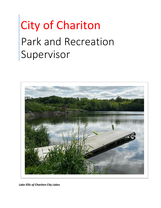# City of Chariton Park and Recreation Supervisor



*Lake Ellis of Chariton City Lakes*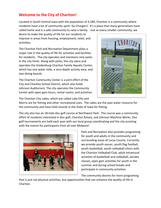# **Welcome to the City of Chariton!**

Located in South-Central Iowa with the population of 4,180, Chariton is a community where residents have a lot of community spirit- Go Chargers! It's a place that many generations have called home and is a safe community to raise a family. Just as every smaller community, we

desire to make the quality of life for our residents to improve in areas from housing, employment, retail, and activities.

The Chariton Park and Recreation Department plays a major role in the quality of life for activities and facilities for residents. The city operates and maintains nine parks in the city limits. Along with parks, the city owns and operates the Vredenburg-Chariton Family Aquatic Center, which has one water slide, a zero-depth activity area, and two diving boards.

The Chariton Community Center is a joint effort of the City and Chariton School District, which also holds Johnson Auditorium. The city operates the Community Center with open gym hours, rental rooms, and activities.



The Chariton City Lakes, which are called Lake Ellis and

Morris are for fishing and other recreational uses. The Lakes are the past water resource for the community and have held records in the State of Iowa for fishing.

The city also has an 18-hole disc golf course at Northwest Park. The course was a community effort of residents interested in disc golf, Chariton Rotary, and Johnson Machine Works. Disc golf tournaments are held each year with our local group coordinating and the city assisting with the events for participants from all over Midwest!



Park and Recreation also provides programing for youth and adults in the community and surrounding areas of Lucas County. Currently, we provide youth soccer, youth flag football, youth basketball, youth volleyball clinics with the Chariton Volleyball Club, adult intramural activities of basketball and volleyball, aerobic classes, open gym activities for youth in the summer and during school breaks and participate in community activities.

The community desires for more programing

that is just not physical activities, but opportunities that can enhance the quality of life in Chariton.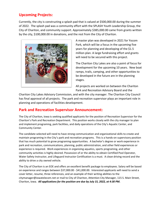# **Upcoming Projects:**

Currently, the city is constructing a splash pad that is valued at \$500,000.00 during the summer of 2022. The splash pad was a community effort with the SPLASH Youth Leadership Group, the City of Chariton, and community support. Approximately \$385,000.00 came from grants written by the city, \$100,000.00 in donations, and the rest from the City of Chariton.



A master plan was developed in 2021 for Yocom Park, which will be a focus in the upcoming five years for planning and developing of the \$1.5 million plan. A large fundraising effort and grants will need to be secured with this project.

The Chariton City Lakes are also a point of focus for development for the upcoming 10 years. New boat ramps, trails, camping, and other opportunities to be developed in the future are in the planning stages.

All projects are worked on between the Chariton Park and Recreation Advisory Board and the

Chariton City Lakes Advisory Commission, and with the city manager. The Chariton City Council has final approval of all projects. The park and recreation supervisor plays an important role in planning and operations of facilities development.

# **Park and Recreation Supervisor Announcement:**

The City of Chariton, Iowa is seeking qualified applicants for the position of Recreation Supervisor for the Chariton's Park and Recreation Department. This position works closely with the city manager to plan and implement programing, park facilities, and daily operations of the City's Aquatic Center, and Community Center.

The candidate selected will need to have strong communication and organizational skills to create and maintain programing in the City's park and recreation programs. This is a hands-on supervisory position that has much potential to grow programing opportunities. A bachelor's degree or work experience in park and recreation, communications, planning, public administration, and other field experiences or experience is required. Work experiences in organizing aquatics, sports programing, and other community activities is highly desired. Possession of or the ability to obtain Certified Pool Operator, Water Safety Instructor, and Lifeguard Instructor Certification is a must. A clean driving record and the ability to drive a city owned vehicle.

The City of Chariton is an EOE and offers an excellent benefit package to employees. Salary will be based on experience and ranges between \$37,000.00 - \$41,000.00. Interested applicants will need to send a cover letter, resume, three references, and an example of their writing abilities to the [citymanager@iowatelecom.net](mailto:citymanager@iowatelecom.net) or mail to City of Chariton, Attention City Manager, 115 S. Main Street, Chariton, Iowa. *All applications for the position are due by July 15, 2022, at 4:30 PM.*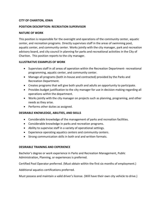#### **CITY OF CHARITON, IOWA**

### **POSITION DESCRIPTION: RECREATION SUPERVISOR**

#### **NATURE OF WORK**

This position is responsible for the oversight and operations of the community center, aquatic center, and recreation programs. Directly supervises staff in the areas of swimming pool, aquatic center, and community center. Works jointly with the city manager, park and recreation advisory board, and city council in planning for parks and recreational activities in the City of Chariton. This position reports to the city manager.

#### **ILLUSTRATIVE EXAMPLES OF WORK**

- Supervises staff in all areas of operation within the Recreation Department- recreational programming, aquatic center, and community center.
- Manage all programs (both in-house and contracted) provided by the Parks and Recreation Department.
- Creates programs that will give both youth and adults an opportunity to participate.
- Provides budget justification to the city manager for use in decision making regarding all operations within the department.
- Works jointly with the city manager on projects such as planning, programing, and other needs as they arise.
- Performs other duties as assigned.

# **DESIRABLE KNOWLEDGE, ABILITIES, AND SKILLS**

- Considerable knowledge of the management of parks and recreation facilities.
- Considerable knowledge in parks and recreation programs.
- Ability to supervise staff in a variety of operational settings.
- Experience operating aquatics centers and community centers.
- Strong communication skills in both oral and written formats.

#### **DESIRABLE TRAINING AND EXPERIENCE**

Bachelor's degree or work experience in Parks and Recreation Management, Public Administration, Planning, or experiences is preferred.

Certified Pool Operator preferred. (Must obtain within the first six months of employment.)

Additional aquatics certifications preferred.

Must possess and maintain a valid driver's license. (Will have their own city vehicle to drive.)